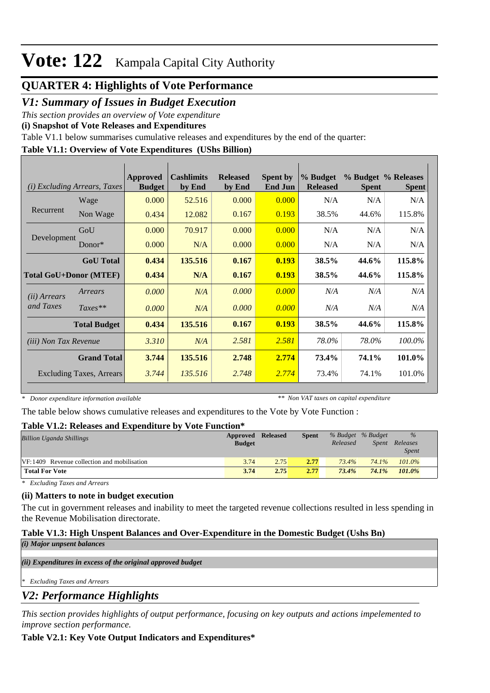# **Vote: 122** Kampala Capital City Authority

# **QUARTER 4: Highlights of Vote Performance**

### *V1: Summary of Issues in Budget Execution*

*This section provides an overview of Vote expenditure* 

**(i) Snapshot of Vote Releases and Expenditures**

Table V1.1 below summarises cumulative releases and expenditures by the end of the quarter:

### **Table V1.1: Overview of Vote Expenditures (UShs Billion)**

| (i)                           | <b>Excluding Arrears, Taxes</b> | Approved<br><b>Budget</b> | <b>Cashlimits</b><br>by End | <b>Released</b><br>by End | <b>Spent by</b><br><b>End Jun</b> | % Budget<br><b>Released</b> | <b>Spent</b> | % Budget % Releases<br><b>Spent</b> |
|-------------------------------|---------------------------------|---------------------------|-----------------------------|---------------------------|-----------------------------------|-----------------------------|--------------|-------------------------------------|
|                               | Wage                            | 0.000                     | 52.516                      | 0.000                     | 0.000                             | N/A                         | N/A          | N/A                                 |
| Recurrent                     | Non Wage                        | 0.434                     | 12.082                      | 0.167                     | 0.193                             | 38.5%                       | 44.6%        | 115.8%                              |
|                               | GoU                             | 0.000                     | 70.917                      | 0.000                     | 0.000                             | N/A                         | N/A          | N/A                                 |
| Development                   | $Donor*$                        | 0.000                     | N/A                         | 0.000                     | 0.000                             | N/A                         | N/A          | N/A                                 |
|                               | <b>GoU</b> Total                | 0.434                     | 135.516                     | 0.167                     | 0.193                             | 38.5%                       | 44.6%        | 115.8%                              |
| <b>Total GoU+Donor (MTEF)</b> |                                 | 0.434                     | N/A                         | 0.167                     | 0.193                             | 38.5%                       | 44.6%        | 115.8%                              |
| ( <i>ii</i> ) Arrears         | Arrears                         | 0.000                     | N/A                         | 0.000                     | 0.000                             | N/A                         | N/A          | N/A                                 |
| and Taxes                     | $Taxes**$                       | 0.000                     | N/A                         | 0.000                     | 0.000                             | N/A                         | N/A          | N/A                                 |
|                               | <b>Total Budget</b>             | 0.434                     | 135.516                     | 0.167                     | 0.193                             | 38.5%                       | 44.6%        | 115.8%                              |
| <i>(iii)</i> Non Tax Revenue  |                                 | 3.310                     | N/A                         | 2.581                     | 2.581                             | 78.0%                       | 78.0%        | 100.0%                              |
|                               | <b>Grand Total</b>              | 3.744                     | 135.516                     | 2.748                     | 2.774                             | 73.4%                       | 74.1%        | 101.0%                              |
|                               | <b>Excluding Taxes, Arrears</b> | 3.744                     | 135.516                     | 2.748                     | 2.774                             | 73.4%                       | 74.1%        | 101.0%                              |

*\* Donor expenditure information available*

*\*\* Non VAT taxes on capital expenditure*

The table below shows cumulative releases and expenditures to the Vote by Vote Function :

### **Table V1.2: Releases and Expenditure by Vote Function\***

| A WAIV 'I AIWI ALVAVADUD MAIM AZAMUZIMANAL U M'I<br>$\sqrt{2}$ |               |          |              |          |                   |              |  |  |
|----------------------------------------------------------------|---------------|----------|--------------|----------|-------------------|--------------|--|--|
| <b>Billion Uganda Shillings</b>                                | Approved      | Released | <b>Spent</b> |          | % Budget % Budget | $\%$         |  |  |
|                                                                | <b>Budget</b> |          |              | Released | Spent             | Releases     |  |  |
|                                                                |               |          |              |          |                   | <i>Spent</i> |  |  |
| VF:1409 Revenue collection and mobilisation                    | 3.74          | 2.75     | 2.77         | $73.4\%$ | 74.1%             | $101.0\%$    |  |  |
| <b>Total For Vote</b>                                          | 3.74          | 2.75     | 2.77         | 73.4%    | 74.1%             | 101.0%       |  |  |

*\* Excluding Taxes and Arrears*

### **(ii) Matters to note in budget execution**

The cut in government releases and inability to meet the targeted revenue collections resulted in less spending in the Revenue Mobilisation directorate.

### **Table V1.3: High Unspent Balances and Over-Expenditure in the Domestic Budget (Ushs Bn)**

*(i) Major unpsent balances*

*(ii) Expenditures in excess of the original approved budget*

*\* Excluding Taxes and Arrears*

### *V2: Performance Highlights*

*This section provides highlights of output performance, focusing on key outputs and actions impelemented to improve section performance.*

### **Table V2.1: Key Vote Output Indicators and Expenditures\***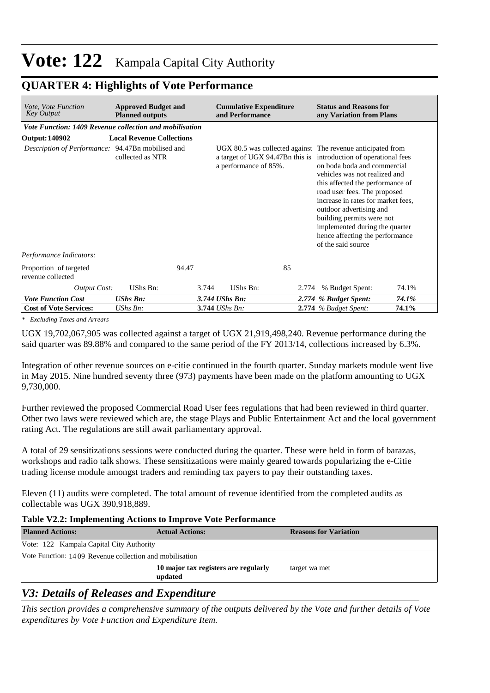# **Vote: 122** Kampala Capital City Authority

## **QUARTER 4: Highlights of Vote Performance**

| <b>Approved Budget and</b><br>Vote, Vote Function<br><b>Key Output</b><br><b>Planned outputs</b> |                                                         |                       | <b>Cumulative Expenditure</b><br>and Performance |                                                                                                                                                                                                                                                                                                                                                                                                                                                              | <b>Status and Reasons for</b><br>any Variation from Plans |  |  |  |  |  |  |
|--------------------------------------------------------------------------------------------------|---------------------------------------------------------|-----------------------|--------------------------------------------------|--------------------------------------------------------------------------------------------------------------------------------------------------------------------------------------------------------------------------------------------------------------------------------------------------------------------------------------------------------------------------------------------------------------------------------------------------------------|-----------------------------------------------------------|--|--|--|--|--|--|
|                                                                                                  | Vote Function: 1409 Revenue collection and mobilisation |                       |                                                  |                                                                                                                                                                                                                                                                                                                                                                                                                                                              |                                                           |  |  |  |  |  |  |
| Output: 140902                                                                                   | <b>Local Revenue Collections</b>                        |                       |                                                  |                                                                                                                                                                                                                                                                                                                                                                                                                                                              |                                                           |  |  |  |  |  |  |
| Description of Performance: 94.47Bn mobilised and                                                | collected as NTR                                        | a performance of 85%. |                                                  | UGX 80.5 was collected against The revenue anticipated from<br>a target of UGX 94.47Bn this is introduction of operational fees<br>on boda boda and commercial<br>vehicles was not realized and<br>this affected the performance of<br>road user fees. The proposed<br>increase in rates for market fees.<br>outdoor advertising and<br>building permits were not<br>implemented during the quarter<br>hence affecting the performance<br>of the said source |                                                           |  |  |  |  |  |  |
| Performance Indicators:                                                                          |                                                         |                       |                                                  |                                                                                                                                                                                                                                                                                                                                                                                                                                                              |                                                           |  |  |  |  |  |  |
| Proportion of targeted<br>revenue collected                                                      | 94.47                                                   |                       | 85                                               |                                                                                                                                                                                                                                                                                                                                                                                                                                                              |                                                           |  |  |  |  |  |  |
| <b>Output Cost:</b>                                                                              | UShs Bn:                                                | UShs Bn:<br>3.744     | 2.774                                            | % Budget Spent:                                                                                                                                                                                                                                                                                                                                                                                                                                              | 74.1%                                                     |  |  |  |  |  |  |
| <b>Vote Function Cost</b>                                                                        | $UShs Bn$ :                                             | 3.744 UShs Bn:        |                                                  | 2.774 % Budget Spent:                                                                                                                                                                                                                                                                                                                                                                                                                                        | 74.1%                                                     |  |  |  |  |  |  |
| <b>Cost of Vote Services:</b>                                                                    | UShs Bn:                                                | 3.744 UShs Bn:        |                                                  | $2.774$ % Budget Spent:                                                                                                                                                                                                                                                                                                                                                                                                                                      | 74.1%                                                     |  |  |  |  |  |  |

*\* Excluding Taxes and Arrears*

UGX 19,702,067,905 was collected against a target of UGX 21,919,498,240. Revenue performance during the said quarter was 89.88% and compared to the same period of the FY 2013/14, collections increased by 6.3%.

Integration of other revenue sources on e-citie continued in the fourth quarter. Sunday markets module went live in May 2015. Nine hundred seventy three (973) payments have been made on the platform amounting to UGX 9,730,000.

Further reviewed the proposed Commercial Road User fees regulations that had been reviewed in third quarter. Other two laws were reviewed which are, the stage Plays and Public Entertainment Act and the local government rating Act. The regulations are still await parliamentary approval.

A total of 29 sensitizations sessions were conducted during the quarter. These were held in form of barazas, workshops and radio talk shows. These sensitizations were mainly geared towards popularizing the e-Citie trading license module amongst traders and reminding tax payers to pay their outstanding taxes.

Eleven (11) audits were completed. The total amount of revenue identified from the completed audits as collectable was UGX 390,918,889.

### **Table V2.2: Implementing Actions to Improve Vote Performance**

| <b>Planned Actions:</b>                                 | <b>Actual Actions:</b>                          | <b>Reasons for Variation</b> |  |  |  |  |  |
|---------------------------------------------------------|-------------------------------------------------|------------------------------|--|--|--|--|--|
| Vote: 122 Kampala Capital City Authority                |                                                 |                              |  |  |  |  |  |
| Vote Function: 1409 Revenue collection and mobilisation |                                                 |                              |  |  |  |  |  |
|                                                         | 10 major tax registers are regularly<br>updated | target wa met                |  |  |  |  |  |

# *V3: Details of Releases and Expenditure*

*This section provides a comprehensive summary of the outputs delivered by the Vote and further details of Vote expenditures by Vote Function and Expenditure Item.*